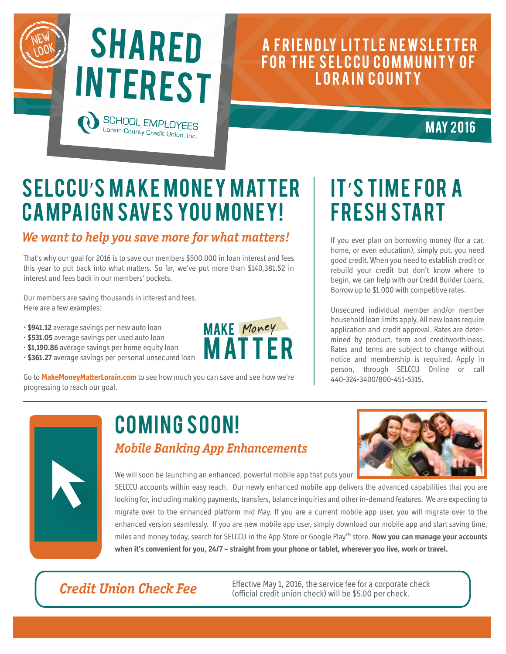

#### A FRIENDLY LITTLE NEWSLETTER FOR THE SELCCU COMMUNITY OF LORAIN COUNTY

**MAY 2016** 

## SELCCU'S MAKE MONEY MATTER **CAMPAIGN SAVES YOU MONEY!**

#### **We want to help you save more for what matters!**

That's why our goal for 2016 is to save our members \$500,000 in loan interest and fees this year to put back into what matters. So far, we've put more than \$140,381.52 in interest and fees back in our members' pockets.

Our members are saving thousands in interest and fees. Here are a few examples:

- **\$941.12** average savings per new auto loan
- **\$531.05** average savings per used auto loan
- **\$1,190.86** average savings per home equity loan
- • **\$361.27** average savings per personal unsecured loan



Go to **MakeMoneyMatterLorain.com** to see how much you can save and see how we're progressing to reach our goal.

# IT'S TIME FOR A **FRESH START**

If you ever plan on borrowing money (for a car, home, or even education), simply put, you need good credit. When you need to establish credit or rebuild your credit but don't know where to begin, we can help with our Credit Builder Loans. Borrow up to \$1,000 with competitive rates.

Unsecured individual member and/or member household loan limits apply. All new loans require application and credit approval. Rates are determined by product, term and creditworthiness. Rates and terms are subject to change without notice and membership is required. Apply in person, through SELCCU Online or call 440-324-3400/800-451-6315.



### Coming Soon! **Mobile Banking App Enhancements**



We will soon be launching an enhanced, powerful mobile app that puts your

SELCCU accounts within easy reach. Our newly enhanced mobile app delivers the advanced capabilities that you are looking for, including making payments, transfers, balance inquiries and other in-demand features. We are expecting to migrate over to the enhanced platform mid May. If you are a current mobile app user, you will migrate over to the enhanced version seamlessly. If you are new mobile app user, simply download our mobile app and start saving time, miles and money today, search for SELCCU in the App Store or Google PlayTM store. **Now you can manage your accounts when it's convenient for you, 24/7 – straight from your phone or tablet, wherever you live, work or travel.** 

#### **Credit Union Check Fee**

Effective May 1, 2016, the service fee for a corporate check (official credit union check) will be \$5.00 per check.